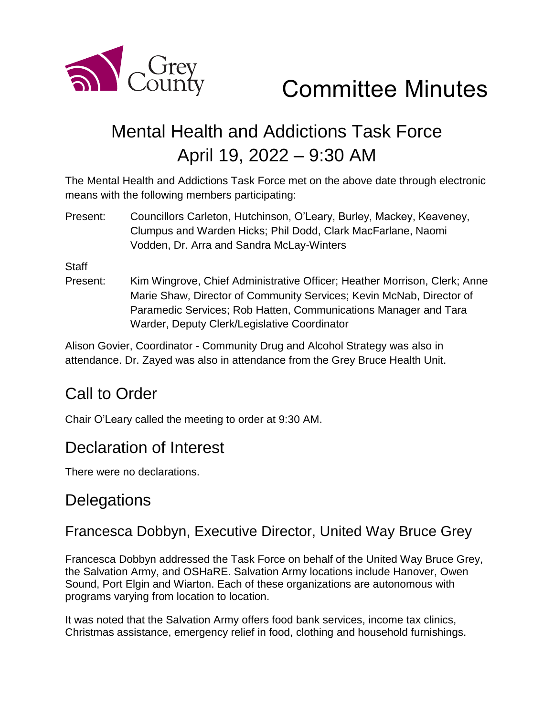

Committee Minutes

# Mental Health and Addictions Task Force April 19, 2022 – 9:30 AM

The Mental Health and Addictions Task Force met on the above date through electronic means with the following members participating:

Present: Councillors Carleton, Hutchinson, O'Leary, Burley, Mackey, Keaveney, Clumpus and Warden Hicks; Phil Dodd, Clark MacFarlane, Naomi Vodden, Dr. Arra and Sandra McLay-Winters

**Staff** 

Present: Kim Wingrove, Chief Administrative Officer; Heather Morrison, Clerk; Anne Marie Shaw, Director of Community Services; Kevin McNab, Director of Paramedic Services; Rob Hatten, Communications Manager and Tara Warder, Deputy Clerk/Legislative Coordinator

Alison Govier, Coordinator - Community Drug and Alcohol Strategy was also in attendance. Dr. Zayed was also in attendance from the Grey Bruce Health Unit.

## Call to Order

Chair O'Leary called the meeting to order at 9:30 AM.

## Declaration of Interest

There were no declarations.

## **Delegations**

#### Francesca Dobbyn, Executive Director, United Way Bruce Grey

Francesca Dobbyn addressed the Task Force on behalf of the United Way Bruce Grey, the Salvation Army, and OSHaRE. Salvation Army locations include Hanover, Owen Sound, Port Elgin and Wiarton. Each of these organizations are autonomous with programs varying from location to location.

It was noted that the Salvation Army offers food bank services, income tax clinics, Christmas assistance, emergency relief in food, clothing and household furnishings.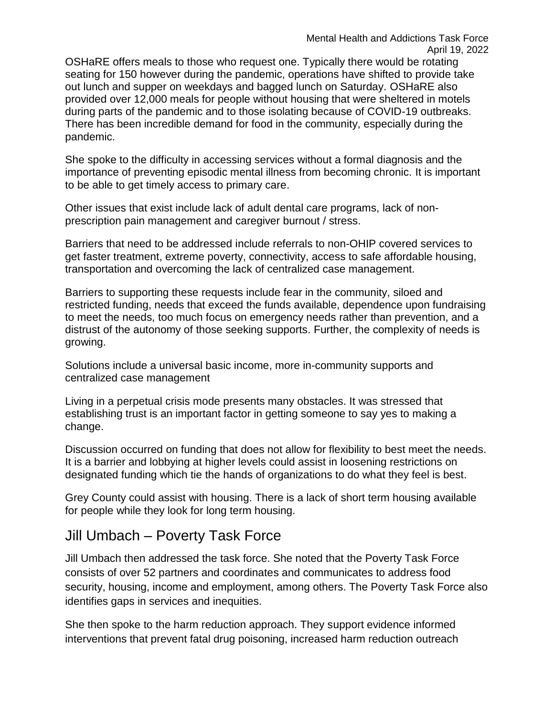OSHaRE offers meals to those who request one. Typically there would be rotating seating for 150 however during the pandemic, operations have shifted to provide take out lunch and supper on weekdays and bagged lunch on Saturday. OSHaRE also provided over 12,000 meals for people without housing that were sheltered in motels during parts of the pandemic and to those isolating because of COVID-19 outbreaks. There has been incredible demand for food in the community, especially during the pandemic.

She spoke to the difficulty in accessing services without a formal diagnosis and the importance of preventing episodic mental illness from becoming chronic. It is important to be able to get timely access to primary care.

Other issues that exist include lack of adult dental care programs, lack of nonprescription pain management and caregiver burnout / stress.

Barriers that need to be addressed include referrals to non-OHIP covered services to get faster treatment, extreme poverty, connectivity, access to safe affordable housing, transportation and overcoming the lack of centralized case management.

Barriers to supporting these requests include fear in the community, siloed and restricted funding, needs that exceed the funds available, dependence upon fundraising to meet the needs, too much focus on emergency needs rather than prevention, and a distrust of the autonomy of those seeking supports. Further, the complexity of needs is growing.

Solutions include a universal basic income, more in-community supports and centralized case management

Living in a perpetual crisis mode presents many obstacles. It was stressed that establishing trust is an important factor in getting someone to say yes to making a change.

Discussion occurred on funding that does not allow for flexibility to best meet the needs. It is a barrier and lobbying at higher levels could assist in loosening restrictions on designated funding which tie the hands of organizations to do what they feel is best.

Grey County could assist with housing. There is a lack of short term housing available for people while they look for long term housing.

#### Jill Umbach – Poverty Task Force

Jill Umbach then addressed the task force. She noted that the Poverty Task Force consists of over 52 partners and coordinates and communicates to address food security, housing, income and employment, among others. The Poverty Task Force also identifies gaps in services and inequities.

She then spoke to the harm reduction approach. They support evidence informed interventions that prevent fatal drug poisoning, increased harm reduction outreach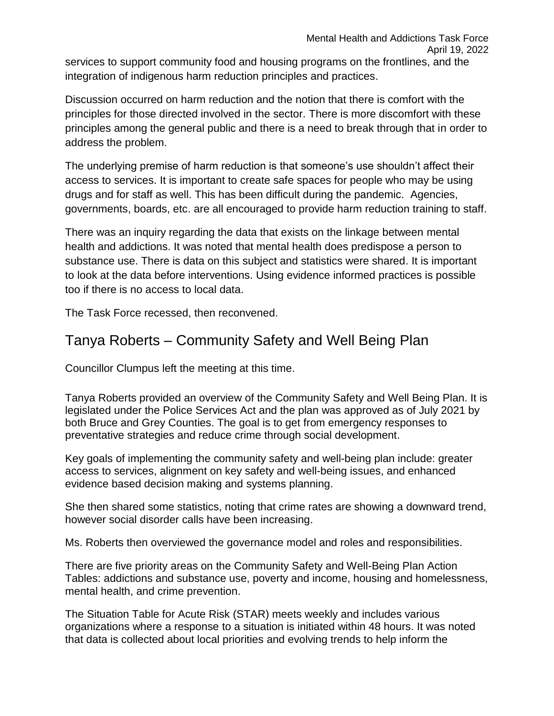services to support community food and housing programs on the frontlines, and the integration of indigenous harm reduction principles and practices.

Discussion occurred on harm reduction and the notion that there is comfort with the principles for those directed involved in the sector. There is more discomfort with these principles among the general public and there is a need to break through that in order to address the problem.

The underlying premise of harm reduction is that someone's use shouldn't affect their access to services. It is important to create safe spaces for people who may be using drugs and for staff as well. This has been difficult during the pandemic. Agencies, governments, boards, etc. are all encouraged to provide harm reduction training to staff.

There was an inquiry regarding the data that exists on the linkage between mental health and addictions. It was noted that mental health does predispose a person to substance use. There is data on this subject and statistics were shared. It is important to look at the data before interventions. Using evidence informed practices is possible too if there is no access to local data.

The Task Force recessed, then reconvened.

#### Tanya Roberts – Community Safety and Well Being Plan

Councillor Clumpus left the meeting at this time.

Tanya Roberts provided an overview of the Community Safety and Well Being Plan. It is legislated under the Police Services Act and the plan was approved as of July 2021 by both Bruce and Grey Counties. The goal is to get from emergency responses to preventative strategies and reduce crime through social development.

Key goals of implementing the community safety and well-being plan include: greater access to services, alignment on key safety and well-being issues, and enhanced evidence based decision making and systems planning.

She then shared some statistics, noting that crime rates are showing a downward trend, however social disorder calls have been increasing.

Ms. Roberts then overviewed the governance model and roles and responsibilities.

There are five priority areas on the Community Safety and Well-Being Plan Action Tables: addictions and substance use, poverty and income, housing and homelessness, mental health, and crime prevention.

The Situation Table for Acute Risk (STAR) meets weekly and includes various organizations where a response to a situation is initiated within 48 hours. It was noted that data is collected about local priorities and evolving trends to help inform the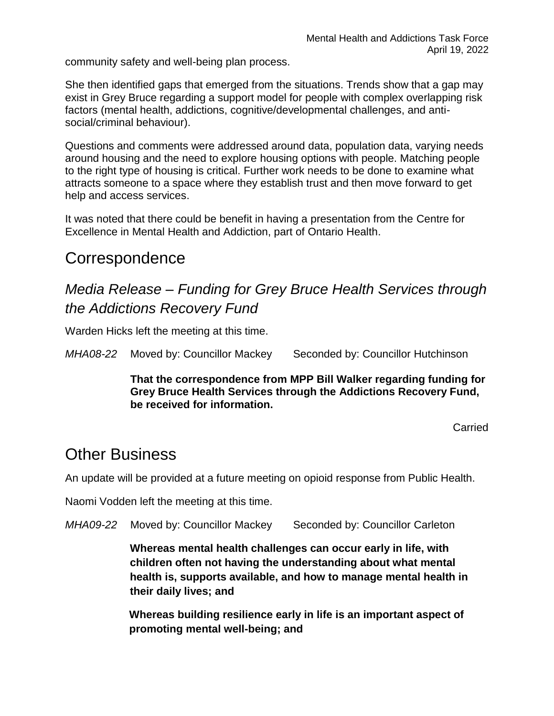community safety and well-being plan process.

She then identified gaps that emerged from the situations. Trends show that a gap may exist in Grey Bruce regarding a support model for people with complex overlapping risk factors (mental health, addictions, cognitive/developmental challenges, and antisocial/criminal behaviour).

Questions and comments were addressed around data, population data, varying needs around housing and the need to explore housing options with people. Matching people to the right type of housing is critical. Further work needs to be done to examine what attracts someone to a space where they establish trust and then move forward to get help and access services.

It was noted that there could be benefit in having a presentation from the Centre for Excellence in Mental Health and Addiction, part of Ontario Health.

## Correspondence

## *Media Release – Funding for Grey Bruce Health Services through the Addictions Recovery Fund*

Warden Hicks left the meeting at this time.

*MHA08-22* Moved by: Councillor Mackey Seconded by: Councillor Hutchinson

**That the correspondence from MPP Bill Walker regarding funding for Grey Bruce Health Services through the Addictions Recovery Fund, be received for information.** 

Carried

### Other Business

An update will be provided at a future meeting on opioid response from Public Health.

Naomi Vodden left the meeting at this time.

*MHA09-22* Moved by: Councillor Mackey Seconded by: Councillor Carleton

**Whereas mental health challenges can occur early in life, with children often not having the understanding about what mental health is, supports available, and how to manage mental health in their daily lives; and**

**Whereas building resilience early in life is an important aspect of promoting mental well-being; and**